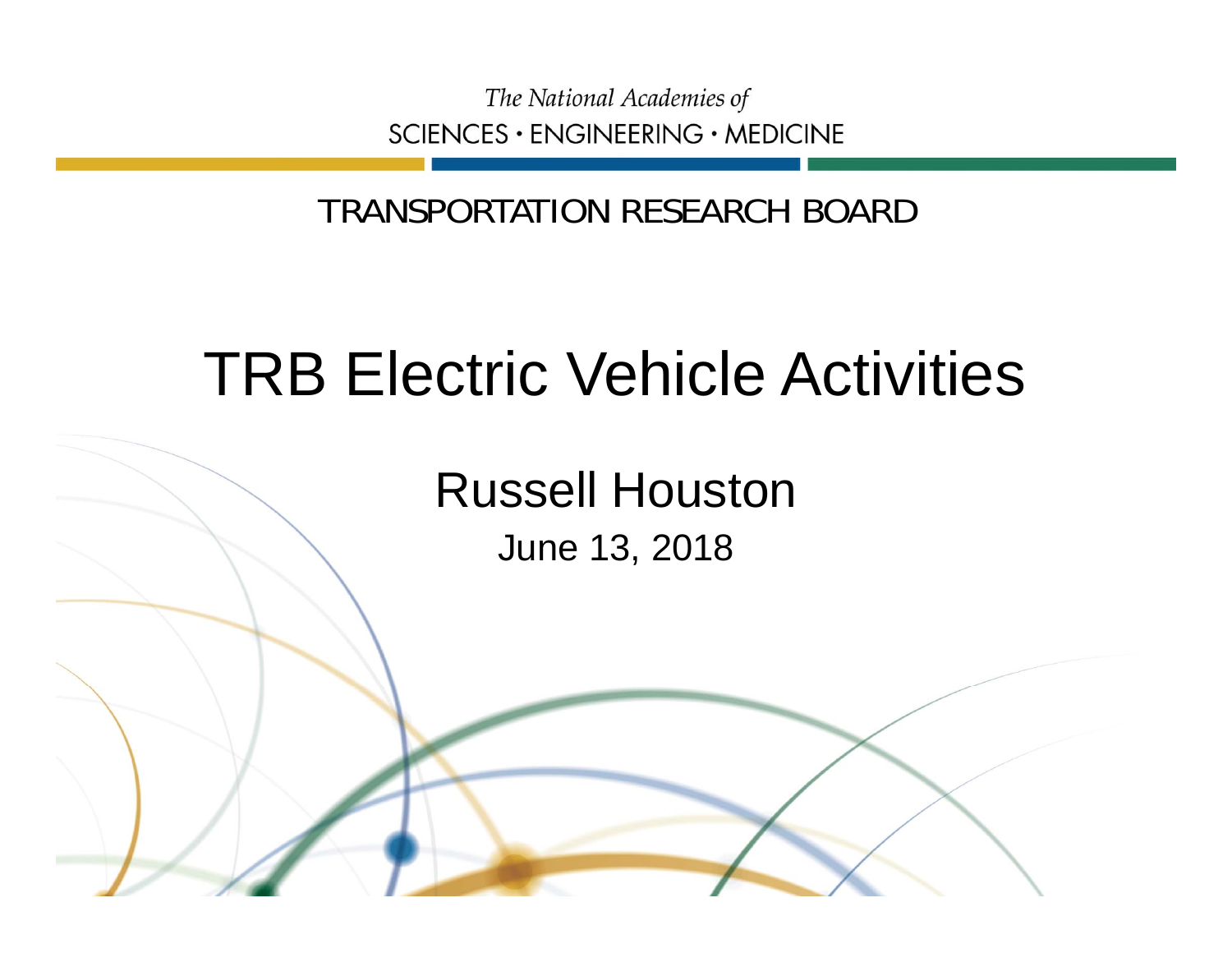The National Academies of SCIENCES · ENGINEERING · MEDICINE

TRANSPORTATION RESEARCH BOARD

# TRB Electric Vehicle Activities

Russell Houston June 13, 2018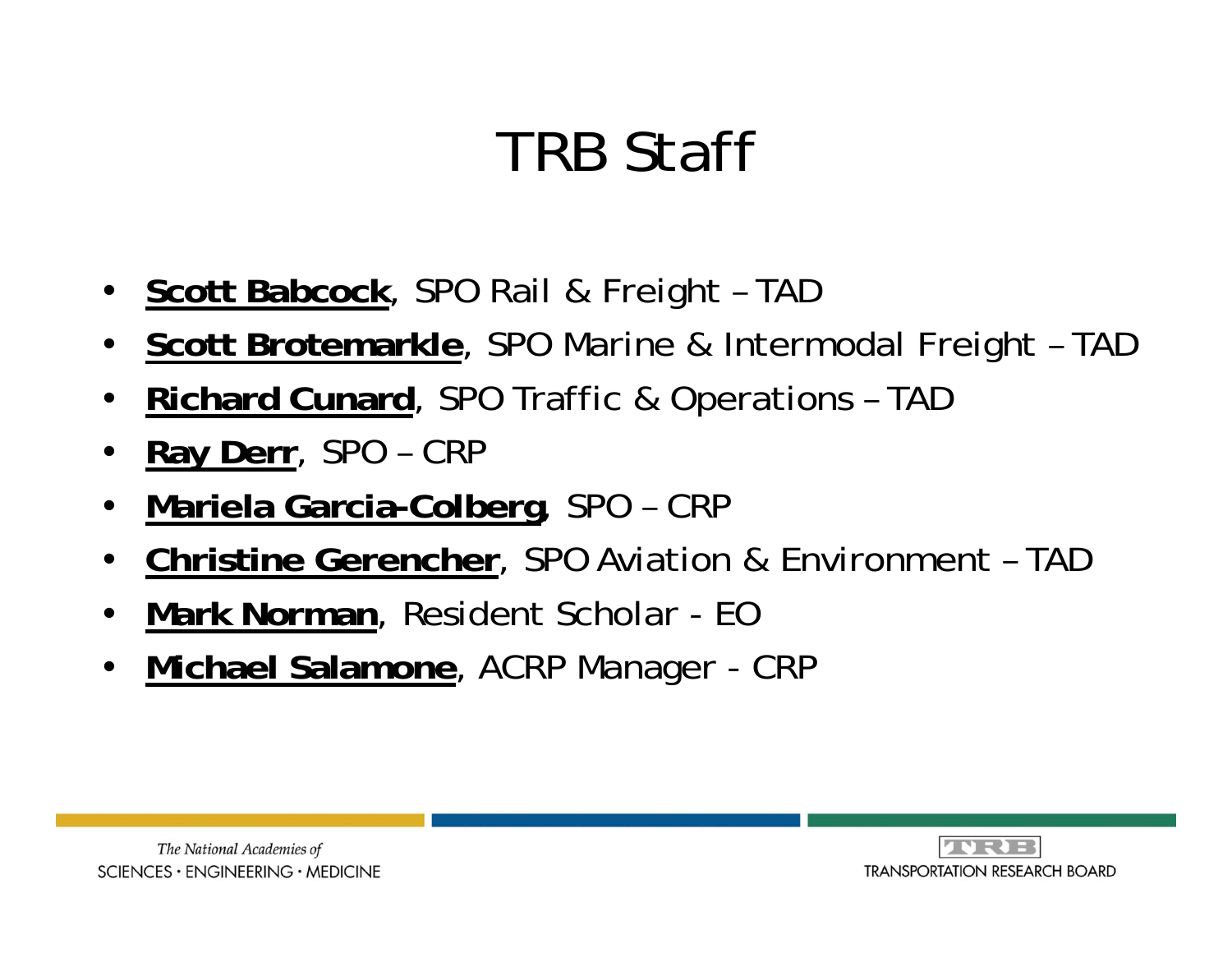# TRB Staff

- **Scott Babcock**, SPO Rail & Freight TAD
- $\bullet$ **Scott Brotemarkle**, SPO Marine & Intermodal Freight – TAD
- $\bullet$ **Richard Cunard**, SPO Traffic & Operations – TAD
- •**Ray Derr**, SPO – CRP
- $\bullet$ **Mariela Garcia-Colberg**, SPO – CRP
- $\bullet$ **Christine Gerencher**, SPO Aviation & Environment – TAD
- $\bullet$ **Mark Norman**, Resident Scholar - EO
- $\bullet$ **Michael Salamone**, ACRP Manager - CRP



**AVRIE TRANSPORTATION RESEARCH BOARD**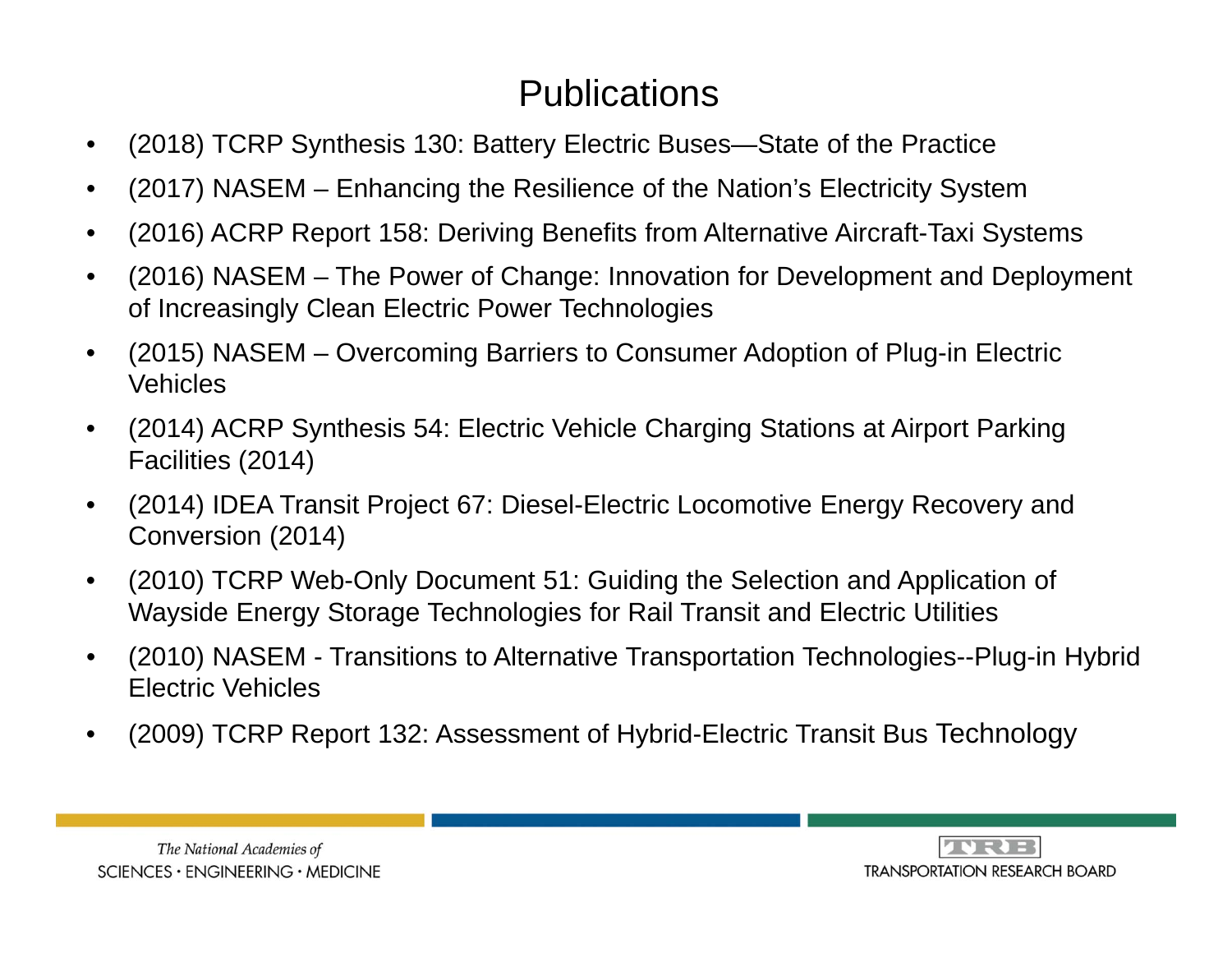### **Publications**

- $\bullet$ (2018) TCRP Synthesis 130: Battery Electric Buses—State of the Practice
- •(2017) NASEM – Enhancing the Resilience of the Nation's Electricity System
- •(2016) ACRP Report 158: Deriving Benefits from Alternative Aircraft-Taxi Systems
- • (2016) NASEM – The Power of Change: Innovation for Development and Deployment of Increasingly Clean Electric Power Technologies
- • (2015) NASEM – Overcoming Barriers to Consumer Adoption of Plug-in Electric Vehicles
- • (2014) ACRP Synthesis 54: Electric Vehicle Charging Stations at Airport Parking Facilities (2014)
- • (2014) IDEA Transit Project 67: Diesel-Electric Locomotive Energy Recovery and Conversion (2014)
- • (2010) TCRP Web-Only Document 51: Guiding the Selection and Application of Wayside Energy Storage Technologies for Rail Transit and Electric Utilities
- • (2010) NASEM - Transitions to Alternative Transportation Technologies--Plug-in Hybrid Electric Vehicles
- $\bullet$ (2009) TCRP Report 132: Assessment of Hybrid-Electric Transit Bus Technology



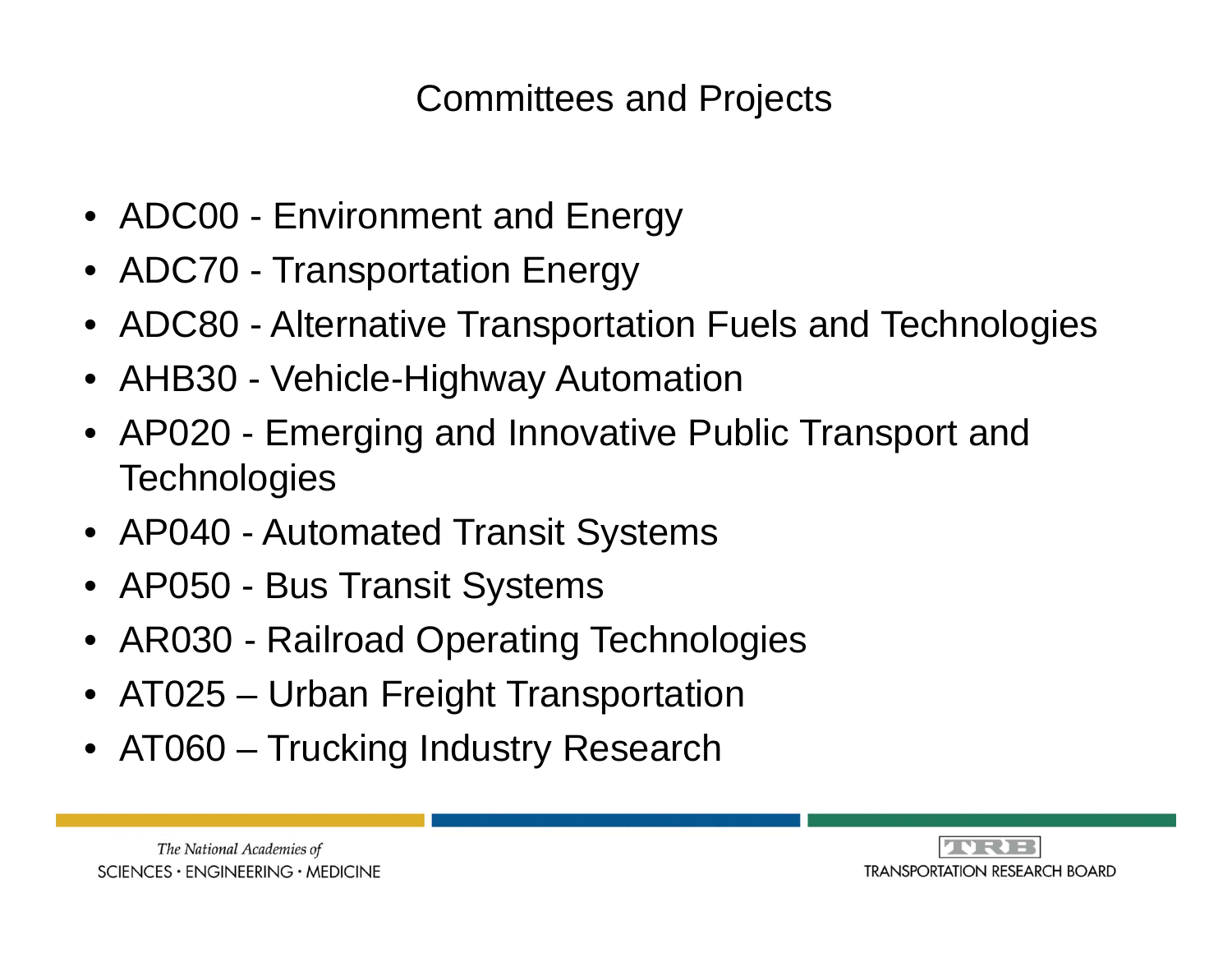Committees and Projects

- ADC00 Environment and Energy
- ADC70 Transportation Energy
- ADC80 Alternative Transportation Fuels and Technologies
- AHB30 Vehicle-Highway Automation
- AP020 Emerging and Innovative Public Transport and **Technologies**
- AP040 Automated Transit Systems
- AP050 Bus Transit Systems
- AR030 Railroad Operating Technologies
- AT025 Urban Freight Transportation
- AT060 Trucking Industry Research



The National Academies of  $SCIENCES · ENGINEERING · MEDICINE$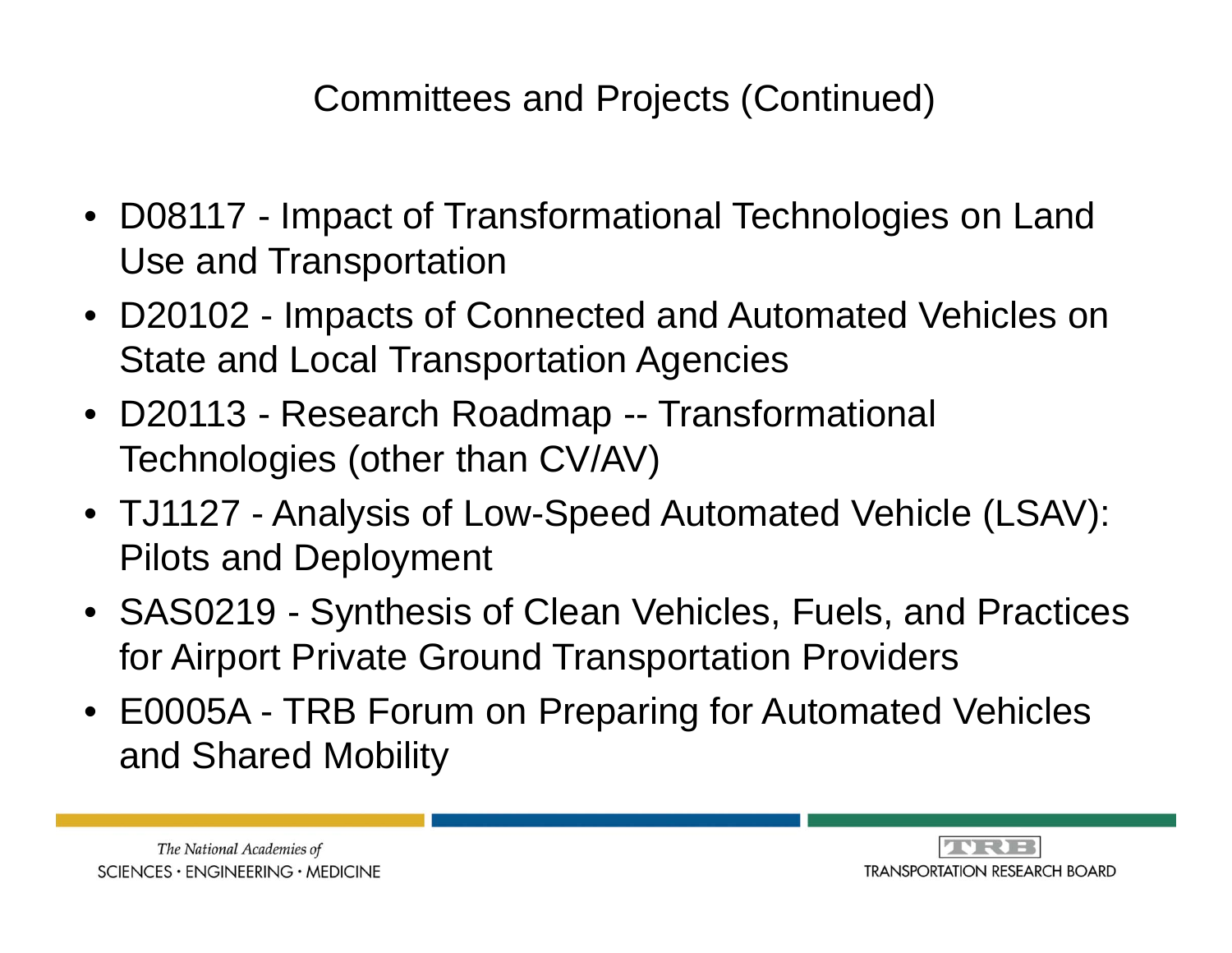## Committees and Projects (Continued)

- D08117 Impact of Transformational Technologies on Land Use and Transportation
- D20102 Impacts of Connected and Automated Vehicles on State and Local Transportation Agencies
- D20113 Research Roadmap -- Transformational Technologies (other than CV/AV)
- TJ1127 Analysis of Low-Speed Automated Vehicle (LSAV): Pilots and Deployment
- SAS0219 Synthesis of Clean Vehicles, Fuels, and Practices for Airport Private Ground Transportation Providers
- E0005A TRB Forum on Preparing for Automated Vehicles and Shared Mobility



**JURIE TRANSPORTATION RESEARCH BOARD**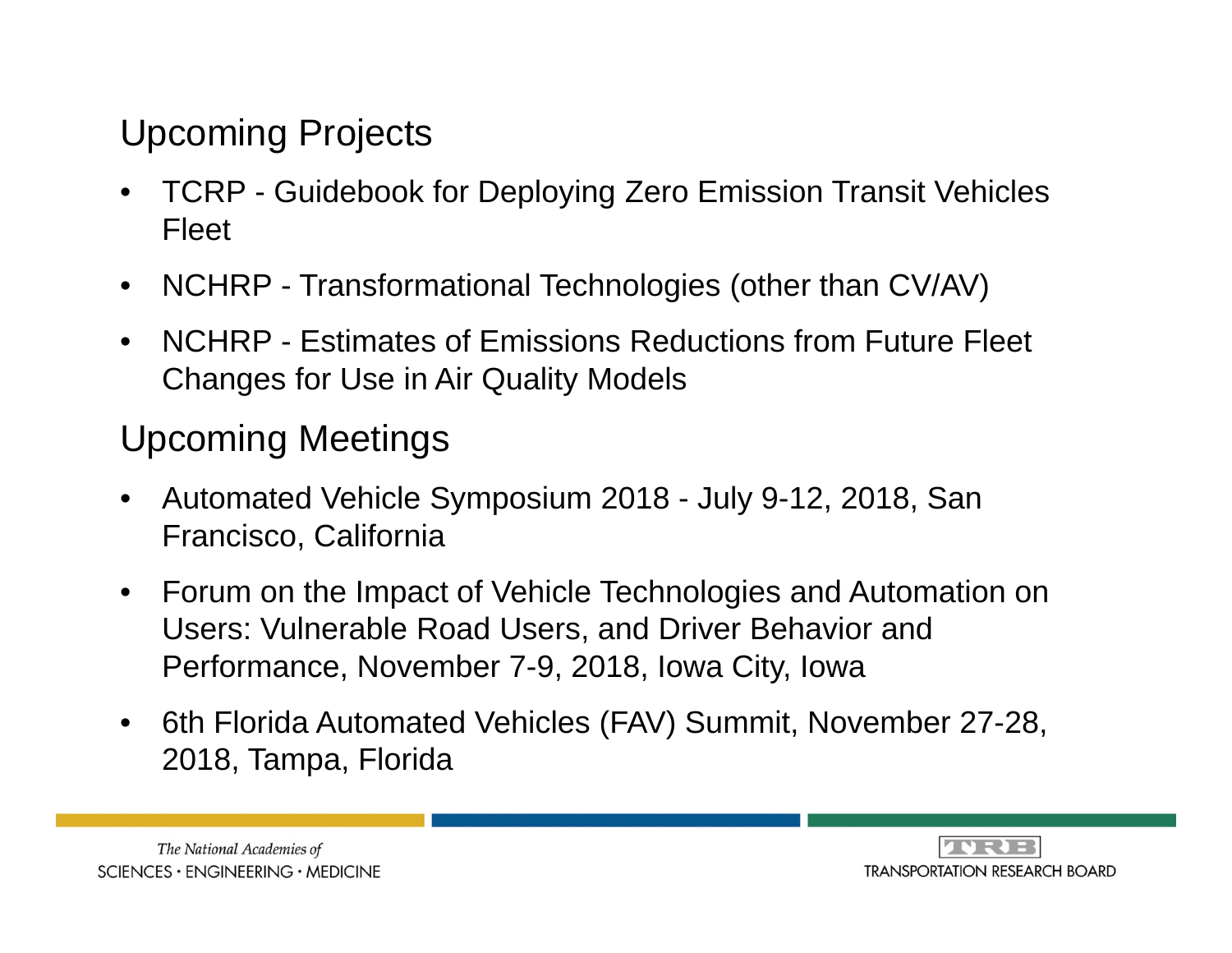#### Upcoming Projects

- $\bullet$  TCRP - Guidebook for Deploying Zero Emission Transit Vehicles Fleet
- $\bullet$ NCHRP - Transformational Technologies (other than CV/AV)
- $\bullet$  NCHRP - Estimates of Emissions Reductions from Future Fleet Changes for Use in Air Quality Models

### Upcoming Meetings

- • Automated Vehicle Symposium 2018 - July 9-12, 2018, San Francisco, California
- $\bullet$  Forum on the Impact of Vehicle Technologies and Automation on Users: Vulnerable Road Users, and Driver Behavior and Performance, November 7-9, 2018, Iowa City, Iowa
- $\bullet$  6th Florida Automated Vehicles (FAV) Summit, November 27-28, 2018, Tampa, Florida



**ANRIE TRANSPORTATION RESEARCH BOARD**